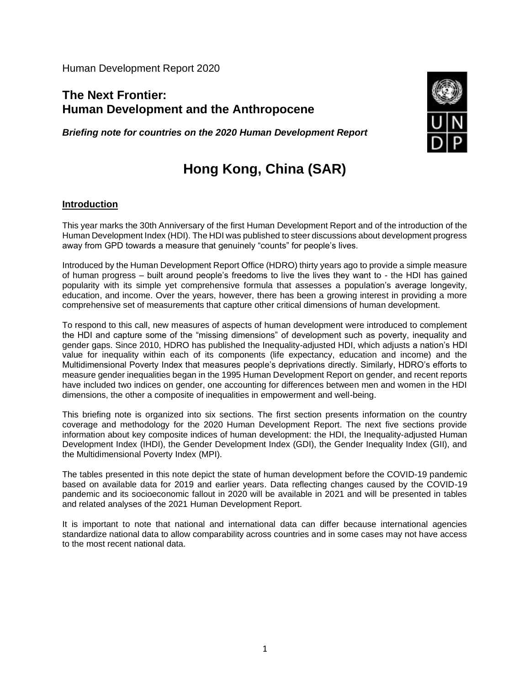Human Development Report 2020

## **The Next Frontier: Human Development and the Anthropocene**

*Briefing note for countries on the 2020 Human Development Report*



# **Hong Kong, China (SAR)**

### **Introduction**

This year marks the 30th Anniversary of the first Human Development Report and of the introduction of the Human Development Index (HDI). The HDI was published to steer discussions about development progress away from GPD towards a measure that genuinely "counts" for people's lives.

Introduced by the Human Development Report Office (HDRO) thirty years ago to provide a simple measure of human progress – built around people's freedoms to live the lives they want to - the HDI has gained popularity with its simple yet comprehensive formula that assesses a population's average longevity, education, and income. Over the years, however, there has been a growing interest in providing a more comprehensive set of measurements that capture other critical dimensions of human development.

To respond to this call, new measures of aspects of human development were introduced to complement the HDI and capture some of the "missing dimensions" of development such as poverty, inequality and gender gaps. Since 2010, HDRO has published the Inequality-adjusted HDI, which adjusts a nation's HDI value for inequality within each of its components (life expectancy, education and income) and the Multidimensional Poverty Index that measures people's deprivations directly. Similarly, HDRO's efforts to measure gender inequalities began in the 1995 Human Development Report on gender, and recent reports have included two indices on gender, one accounting for differences between men and women in the HDI dimensions, the other a composite of inequalities in empowerment and well-being.

This briefing note is organized into six sections. The first section presents information on the country coverage and methodology for the 2020 Human Development Report. The next five sections provide information about key composite indices of human development: the HDI, the Inequality-adjusted Human Development Index (IHDI), the Gender Development Index (GDI), the Gender Inequality Index (GII), and the Multidimensional Poverty Index (MPI).

The tables presented in this note depict the state of human development before the COVID-19 pandemic based on available data for 2019 and earlier years. Data reflecting changes caused by the COVID-19 pandemic and its socioeconomic fallout in 2020 will be available in 2021 and will be presented in tables and related analyses of the 2021 Human Development Report.

It is important to note that national and international data can differ because international agencies standardize national data to allow comparability across countries and in some cases may not have access to the most recent national data.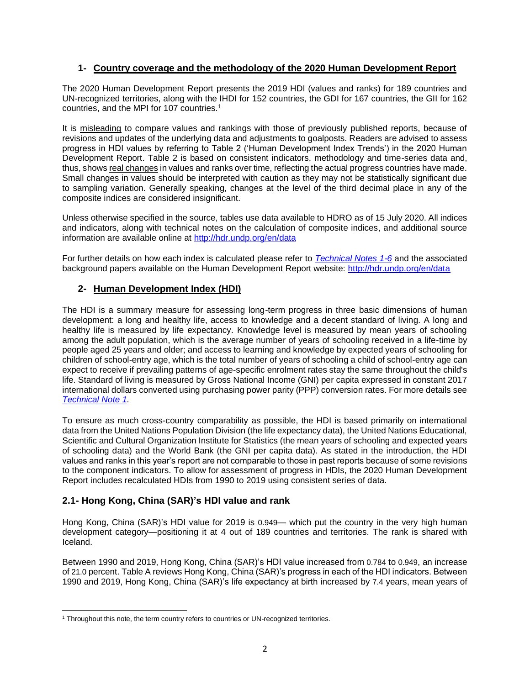## **1- Country coverage and the methodology of the 2020 Human Development Report**

The 2020 Human Development Report presents the 2019 HDI (values and ranks) for 189 countries and UN-recognized territories, along with the IHDI for 152 countries, the GDI for 167 countries, the GII for 162 countries, and the MPI for 107 countries.<sup>1</sup>

It is misleading to compare values and rankings with those of previously published reports, because of revisions and updates of the underlying data and adjustments to goalposts. Readers are advised to assess progress in HDI values by referring to Table 2 ('Human Development Index Trends') in the 2020 Human Development Report. Table 2 is based on consistent indicators, methodology and time-series data and, thus, shows real changes in values and ranks over time, reflecting the actual progress countries have made. Small changes in values should be interpreted with caution as they may not be statistically significant due to sampling variation. Generally speaking, changes at the level of the third decimal place in any of the composite indices are considered insignificant.

Unless otherwise specified in the source, tables use data available to HDRO as of 15 July 2020. All indices and indicators, along with technical notes on the calculation of composite indices, and additional source information are available online at<http://hdr.undp.org/en/data>

For further details on how each index is calculated please refer to *[Technical Notes 1-6](http://hdr.undp.org/sites/default/files/hdr2020_technical_notes.pdf)* and the associated background papers available on the Human Development Report website:<http://hdr.undp.org/en/data>

## **2- Human Development Index (HDI)**

The HDI is a summary measure for assessing long-term progress in three basic dimensions of human development: a long and healthy life, access to knowledge and a decent standard of living. A long and healthy life is measured by life expectancy. Knowledge level is measured by mean years of schooling among the adult population, which is the average number of years of schooling received in a life-time by people aged 25 years and older; and access to learning and knowledge by expected years of schooling for children of school-entry age, which is the total number of years of schooling a child of school-entry age can expect to receive if prevailing patterns of age-specific enrolment rates stay the same throughout the child's life. Standard of living is measured by Gross National Income (GNI) per capita expressed in constant 2017 international dollars converted using purchasing power parity (PPP) conversion rates. For more details see *[Technical Note 1.](http://hdr.undp.org/sites/default/files/hdr2020_technical_notes.pdf)*

To ensure as much cross-country comparability as possible, the HDI is based primarily on international data from the United Nations Population Division (the life expectancy data), the United Nations Educational, Scientific and Cultural Organization Institute for Statistics (the mean years of schooling and expected years of schooling data) and the World Bank (the GNI per capita data). As stated in the introduction, the HDI values and ranks in this year's report are not comparable to those in past reports because of some revisions to the component indicators. To allow for assessment of progress in HDIs, the 2020 Human Development Report includes recalculated HDIs from 1990 to 2019 using consistent series of data.

## **2.1- Hong Kong, China (SAR)'s HDI value and rank**

Hong Kong, China (SAR)'s HDI value for 2019 is 0.949— which put the country in the very high human development category—positioning it at 4 out of 189 countries and territories. The rank is shared with Iceland.

Between 1990 and 2019, Hong Kong, China (SAR)'s HDI value increased from 0.784 to 0.949, an increase of 21.0 percent. Table A reviews Hong Kong, China (SAR)'s progress in each of the HDI indicators. Between 1990 and 2019, Hong Kong, China (SAR)'s life expectancy at birth increased by 7.4 years, mean years of

<sup>&</sup>lt;sup>1</sup> Throughout this note, the term country refers to countries or UN-recognized territories.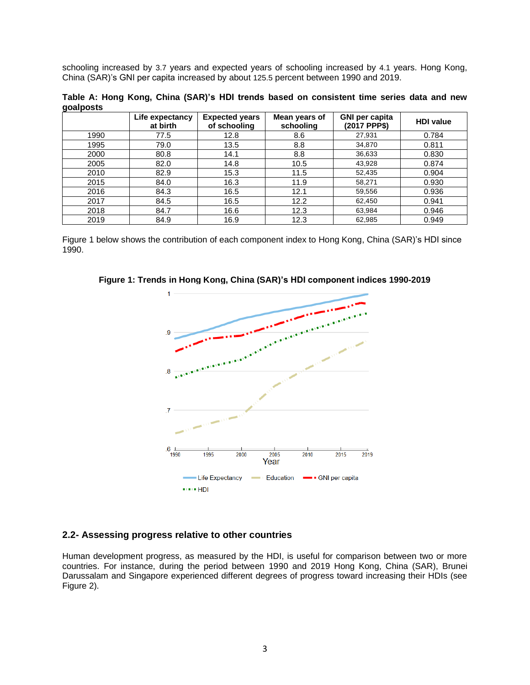schooling increased by 3.7 years and expected years of schooling increased by 4.1 years. Hong Kong, China (SAR)'s GNI per capita increased by about 125.5 percent between 1990 and 2019.

**Table A: Hong Kong, China (SAR)'s HDI trends based on consistent time series data and new goalposts**

|      | Life expectancy<br>at birth | <b>Expected years</b><br>of schooling | Mean years of<br>schooling | <b>GNI per capita</b><br>(2017 PPP\$) | <b>HDI</b> value |
|------|-----------------------------|---------------------------------------|----------------------------|---------------------------------------|------------------|
| 1990 | 77.5                        | 12.8                                  | 8.6                        | 27,931                                | 0.784            |
| 1995 | 79.0                        | 13.5                                  | 8.8                        | 34,870                                | 0.811            |
| 2000 | 80.8                        | 14.1                                  | 8.8                        | 36,633                                | 0.830            |
| 2005 | 82.0                        | 14.8                                  | 10.5                       | 43,928                                | 0.874            |
| 2010 | 82.9                        | 15.3                                  | 11.5                       | 52,435                                | 0.904            |
| 2015 | 84.0                        | 16.3                                  | 11.9                       | 58,271                                | 0.930            |
| 2016 | 84.3                        | 16.5                                  | 12.1                       | 59,556                                | 0.936            |
| 2017 | 84.5                        | 16.5                                  | 12.2                       | 62,450                                | 0.941            |
| 2018 | 84.7                        | 16.6                                  | 12.3                       | 63,984                                | 0.946            |
| 2019 | 84.9                        | 16.9                                  | 12.3                       | 62,985                                | 0.949            |

Figure 1 below shows the contribution of each component index to Hong Kong, China (SAR)'s HDI since 1990.

**Figure 1: Trends in Hong Kong, China (SAR)'s HDI component indices 1990-2019**



#### **2.2- Assessing progress relative to other countries**

Human development progress, as measured by the HDI, is useful for comparison between two or more countries. For instance, during the period between 1990 and 2019 Hong Kong, China (SAR), Brunei Darussalam and Singapore experienced different degrees of progress toward increasing their HDIs (see Figure 2).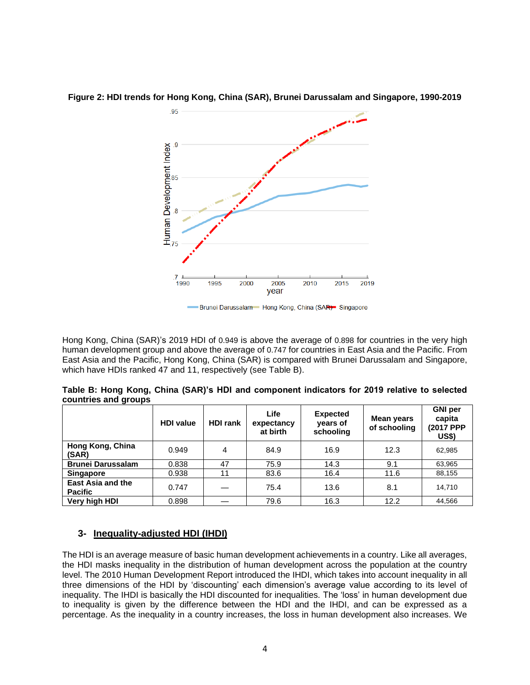

**Figure 2: HDI trends for Hong Kong, China (SAR), Brunei Darussalam and Singapore, 1990-2019**

Hong Kong, China (SAR)'s 2019 HDI of 0.949 is above the average of 0.898 for countries in the very high human development group and above the average of 0.747 for countries in East Asia and the Pacific. From East Asia and the Pacific, Hong Kong, China (SAR) is compared with Brunei Darussalam and Singapore, which have HDIs ranked 47 and 11, respectively (see Table B).

| Table B: Hong Kong, China (SAR)'s HDI and component indicators for 2019 relative to selected |  |
|----------------------------------------------------------------------------------------------|--|
| countries and groups                                                                         |  |

|                                     | <b>HDI</b> value | <b>HDI rank</b> | Life<br>expectancy<br>at birth | <b>Expected</b><br>years of<br>schooling | <b>Mean years</b><br>of schooling | <b>GNI</b> per<br>capita<br>(2017 PPP<br><b>US\$)</b> |
|-------------------------------------|------------------|-----------------|--------------------------------|------------------------------------------|-----------------------------------|-------------------------------------------------------|
| Hong Kong, China<br>(SAR)           | 0.949            | 4               | 84.9                           | 16.9                                     | 12.3                              | 62,985                                                |
| <b>Brunei Darussalam</b>            | 0.838            | 47              | 75.9                           | 14.3                                     | 9.1                               | 63,965                                                |
| Singapore                           | 0.938            | 11              | 83.6                           | 16.4                                     | 11.6                              | 88,155                                                |
| East Asia and the<br><b>Pacific</b> | 0.747            |                 | 75.4                           | 13.6                                     | 8.1                               | 14,710                                                |
| Very high HDI                       | 0.898            |                 | 79.6                           | 16.3                                     | 12.2                              | 44.566                                                |

## **3- Inequality-adjusted HDI (IHDI)**

The HDI is an average measure of basic human development achievements in a country. Like all averages, the HDI masks inequality in the distribution of human development across the population at the country level. The 2010 Human Development Report introduced the IHDI, which takes into account inequality in all three dimensions of the HDI by 'discounting' each dimension's average value according to its level of inequality. The IHDI is basically the HDI discounted for inequalities. The 'loss' in human development due to inequality is given by the difference between the HDI and the IHDI, and can be expressed as a percentage. As the inequality in a country increases, the loss in human development also increases. We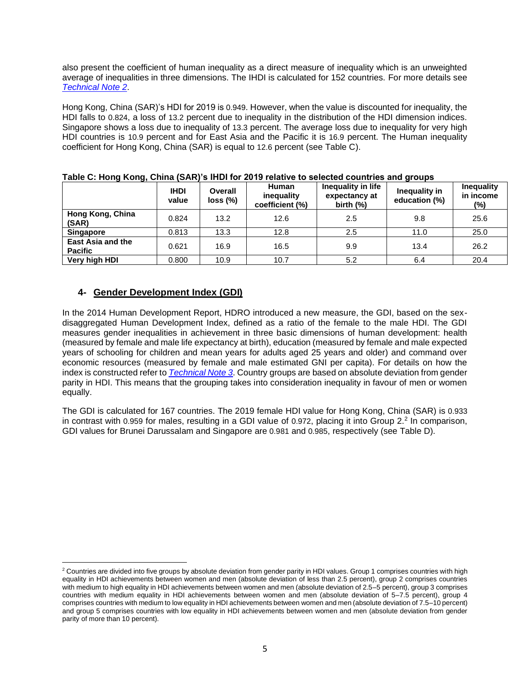also present the coefficient of human inequality as a direct measure of inequality which is an unweighted average of inequalities in three dimensions. The IHDI is calculated for 152 countries. For more details see *[Technical Note 2](http://hdr.undp.org/sites/default/files/hdr2020_technical_notes.pdf)*.

Hong Kong, China (SAR)'s HDI for 2019 is 0.949. However, when the value is discounted for inequality, the HDI falls to 0.824, a loss of 13.2 percent due to inequality in the distribution of the HDI dimension indices. Singapore shows a loss due to inequality of 13.3 percent. The average loss due to inequality for very high HDI countries is 10.9 percent and for East Asia and the Pacific it is 16.9 percent. The Human inequality coefficient for Hong Kong, China (SAR) is equal to 12.6 percent (see Table C).

| $14000$ $0.110119$ $110119$                |                      |                     |                                        |                                                     |                                |                                       |  |  |  |
|--------------------------------------------|----------------------|---------------------|----------------------------------------|-----------------------------------------------------|--------------------------------|---------------------------------------|--|--|--|
|                                            | <b>IHDI</b><br>value | Overall<br>loss (%) | Human<br>inequality<br>coefficient (%) | Inequality in life<br>expectancy at<br>birth $(\%)$ | Inequality in<br>education (%) | <b>Inequality</b><br>in income<br>(%) |  |  |  |
| Hong Kong, China<br>(SAR)                  | 0.824                | 13.2                | 12.6                                   | 2.5                                                 | 9.8                            | 25.6                                  |  |  |  |
| <b>Singapore</b>                           | 0.813                | 13.3                | 12.8                                   | 2.5                                                 | 11.0                           | 25.0                                  |  |  |  |
| <b>East Asia and the</b><br><b>Pacific</b> | 0.621                | 16.9                | 16.5                                   | 9.9                                                 | 13.4                           | 26.2                                  |  |  |  |
| Very high HDI                              | 0.800                | 10.9                | 10.7                                   | 5.2                                                 | 6.4                            | 20.4                                  |  |  |  |

#### **Table C: Hong Kong, China (SAR)'s IHDI for 2019 relative to selected countries and groups**

## **4- Gender Development Index (GDI)**

In the 2014 Human Development Report, HDRO introduced a new measure, the GDI, based on the sexdisaggregated Human Development Index, defined as a ratio of the female to the male HDI. The GDI measures gender inequalities in achievement in three basic dimensions of human development: health (measured by female and male life expectancy at birth), education (measured by female and male expected years of schooling for children and mean years for adults aged 25 years and older) and command over economic resources (measured by female and male estimated GNI per capita). For details on how the index is constructed refer to *[Technical Note 3](http://hdr.undp.org/sites/default/files/hdr2020_technical_notes.pdf)*. Country groups are based on absolute deviation from gender parity in HDI. This means that the grouping takes into consideration inequality in favour of men or women equally.

The GDI is calculated for 167 countries. The 2019 female HDI value for Hong Kong, China (SAR) is 0.933 in contrast with 0.959 for males, resulting in a GDI value of 0.972, placing it into Group 2.<sup>2</sup> In comparison, GDI values for Brunei Darussalam and Singapore are 0.981 and 0.985, respectively (see Table D).

<sup>&</sup>lt;sup>2</sup> Countries are divided into five groups by absolute deviation from gender parity in HDI values. Group 1 comprises countries with high equality in HDI achievements between women and men (absolute deviation of less than 2.5 percent), group 2 comprises countries with medium to high equality in HDI achievements between women and men (absolute deviation of 2.5–5 percent), group 3 comprises countries with medium equality in HDI achievements between women and men (absolute deviation of 5–7.5 percent), group 4 comprises countries with medium to low equality in HDI achievements between women and men (absolute deviation of 7.5–10 percent) and group 5 comprises countries with low equality in HDI achievements between women and men (absolute deviation from gender parity of more than 10 percent).